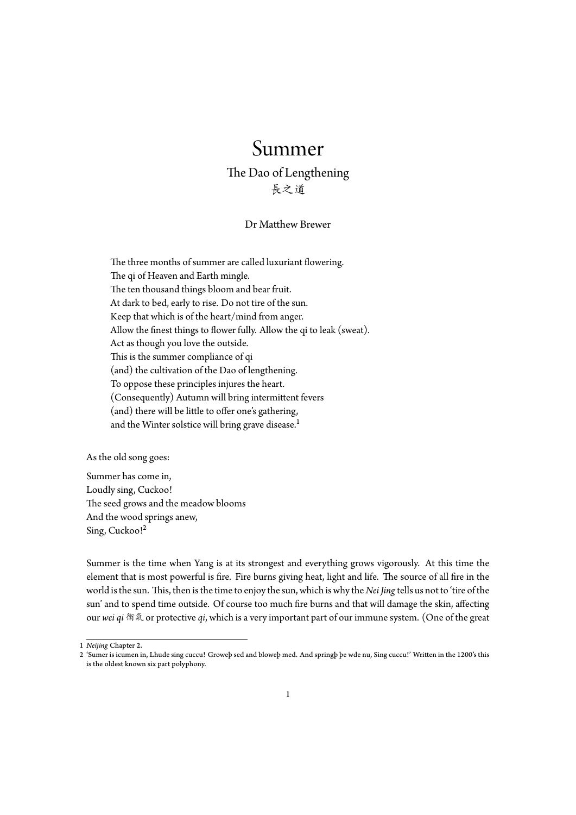## Summer

The Dao of Lengthening 長之道

## Dr Matthew Brewer

The three months of summer are called luxuriant flowering. The qi of Heaven and Earth mingle. The ten thousand things bloom and bear fruit. At dark to bed, early to rise. Do not tire of the sun. Keep that which is of the heart/mind from anger. Allow the finest things to flower fully. Allow the qi to leak (sweat). Act as though you love the outside. This is the summer compliance of qi (and) the cultivation of the Dao of lengthening. To oppose these principles injures the heart. (Consequently) Autumn will bring intermittent fevers (and) there will be little to offer one's gathering, and the Winter solstice will bring grave disease.<sup>1</sup>

As the old song goes:

Summer has come in, Loudly sing, Cuckoo! The seed grows and the meadow blooms And the wood springs anew, Sing, Cuckoo!<sup>2</sup>

Summer is the time when Yang is at its strongest and everything grows vigorously. At this time the element thati[s](#page-0-0) most powerful is fire. Fire burns giving heat, light and life. The source of all fire in the world is the sun. This, then is the time to enjoy the sun, which is why the *Nei Jing* tells us not to 'tire of the sun' and to spend time outside. Of course too much fire burns and that will damage the skin, affecting our *wei qi* 衛氣 or protective *qi*, which is a very important part of our immune system. (One of the great

<sup>1</sup> *Neijing* Chapter 2.

<span id="page-0-0"></span><sup>2</sup> 'Sumer is icumen in, Lhude sing cuccu! Groweþ sed and bloweþ med. And springþ þe wde nu, Sing cuccu!' Written in the 1200's this is the oldest known six part polyphony.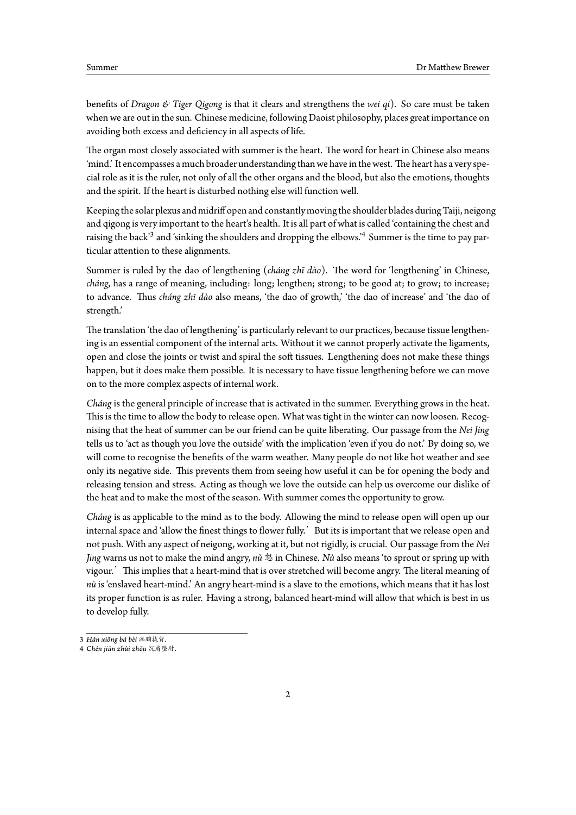benefits of *Dragon & Tiger Qigong* is that it clears and strengthens the *wei qi*). So care must be taken when we are out in the sun. Chinese medicine, following Daoist philosophy, places great importance on avoiding both excess and deficiency in all aspects of life.

The organ most closely associated with summer is the heart. The word for heart in Chinese also means 'mind.' It encompasses a much broader understandingthan we have inthe west. The heart has a very special role as it is the ruler, not only of all the other organs and the blood, but also the emotions, thoughts and the spirit. If the heart is disturbed nothing else will function well.

Keepingthe solar plexus and midriff open and constantly movingthe shoulder blades duringTaiji, neigong and qigong is very important to the heart's health. It is all part of what is called 'containing the chest and raising the back'<sup>3</sup> and 'sinking the shoulders and dropping the elbows.'<sup>4</sup> Summer is the time to pay particular attention to these alignments.

Summer is ruled by the dao of lengthening (*cháng zhī dào*). The word for 'lengthening' in Chinese, *cháng*, has a ran[ge](#page-1-0) of meaning, including: long; lengthen; strong; to [be](#page-1-1) good at; to grow; to increase; to advance. Thus *cháng zhī dào* also means, 'the dao of growth,' 'the dao of increase' and 'the dao of strength.'

The translation 'the dao of lengthening' is particularly relevant to our practices, because tissue lengthening is an essential component of the internal arts. Without it we cannot properly activate the ligaments, open and close the joints or twist and spiral the soft tissues. Lengthening does not make these things happen, but it does make them possible. It is necessary to have tissue lengthening before we can move on to the more complex aspects of internal work.

*Cháng* is the general principle of increase that is activated in the summer. Everything grows in the heat. This is the time to allow the body to release open. What was tight in the winter can now loosen. Recognising that the heat of summer can be our friend can be quite liberating. Our passage from the *Nei Jing* tells us to 'act as though you love the outside' with the implication 'even if you do not.' By doing so, we will come to recognise the benefits of the warm weather. Many people do not like hot weather and see only its negative side. This prevents them from seeing how useful it can be for opening the body and releasing tension and stress. Acting as though we love the outside can help us overcome our dislike of the heat and to make the most of the season. With summer comes the opportunity to grow.

*Cháng* is as applicable to the mind as to the body. Allowing the mind to release open will open up our internal space and 'allow the finest things to flower fully.' But its is important that we release open and not push. With any aspect of neigong, working at it, but not rigidly, is crucial. Our passage from the *Nei Jing* warns us not to make the mind angry, *nù* 怒 in Chinese. *Nù* also means 'to sprout or spring up with vigour.'This implies that a heart-mind that is over stretched will become angry. The literal meaning of *nù* is 'enslaved heart-mind.' An angry heart-mind is a slave to the emotions, which means that it has lost its proper function is as ruler. Having a strong, balanced heart-mind will allow that which is best in us to develop fully.

<sup>3</sup> *Hán xiōng bá bèi* 涵胸拔背.

<span id="page-1-1"></span><span id="page-1-0"></span><sup>4</sup> *Chén jiān zhùi zhŏu* 沉肩墜肘.